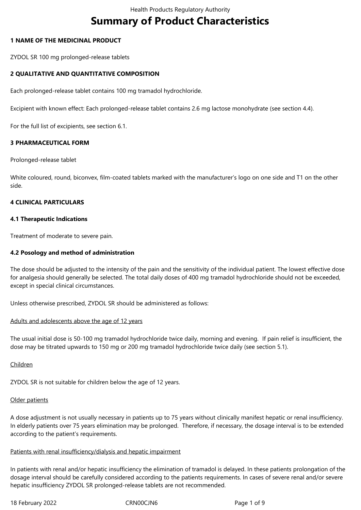# **Summary of Product Characteristics**

# **1 NAME OF THE MEDICINAL PRODUCT**

ZYDOL SR 100 mg prolonged-release tablets

# **2 QUALITATIVE AND QUANTITATIVE COMPOSITION**

Each prolonged-release tablet contains 100 mg tramadol hydrochloride.

Excipient with known effect: Each prolonged-release tablet contains 2.6 mg lactose monohydrate (see section 4.4).

For the full list of excipients, see section 6.1.

# **3 PHARMACEUTICAL FORM**

Prolonged-release tablet

White coloured, round, biconvex, film-coated tablets marked with the manufacturer's logo on one side and T1 on the other side.

# **4 CLINICAL PARTICULARS**

#### **4.1 Therapeutic Indications**

Treatment of moderate to severe pain.

#### **4.2 Posology and method of administration**

The dose should be adjusted to the intensity of the pain and the sensitivity of the individual patient. The lowest effective dose for analgesia should generally be selected. The total daily doses of 400 mg tramadol hydrochloride should not be exceeded, except in special clinical circumstances.

Unless otherwise prescribed, ZYDOL SR should be administered as follows:

#### Adults and adolescents above the age of 12 years

The usual initial dose is 50-100 mg tramadol hydrochloride twice daily, morning and evening. If pain relief is insufficient, the dose may be titrated upwards to 150 mg or 200 mg tramadol hydrochloride twice daily (see section 5.1).

#### Children

ZYDOL SR is not suitable for children below the age of 12 years.

#### Older patients

A dose adjustment is not usually necessary in patients up to 75 years without clinically manifest hepatic or renal insufficiency. In elderly patients over 75 years elimination may be prolonged. Therefore, if necessary, the dosage interval is to be extended according to the patient's requirements.

#### Patients with renal insufficiency/dialysis and hepatic impairment

In patients with renal and/or hepatic insufficiency the elimination of tramadol is delayed. In these patients prolongation of the dosage interval should be carefully considered according to the patients requirements. In cases of severe renal and/or severe hepatic insufficiency ZYDOL SR prolonged-release tablets are not recommended.

18 February 2022 CRN00CJN6 CRNOOCJN6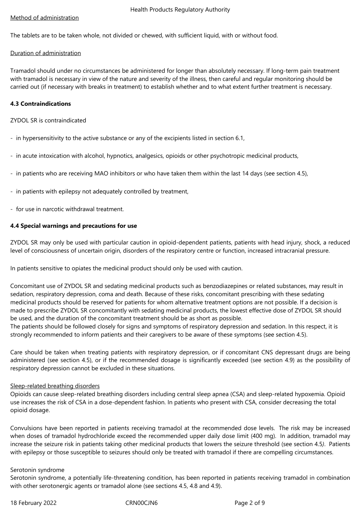# Method of administration

The tablets are to be taken whole, not divided or chewed, with sufficient liquid, with or without food.

# Duration of administration

Tramadol should under no circumstances be administered for longer than absolutely necessary. If long-term pain treatment with tramadol is necessary in view of the nature and severity of the illness, then careful and regular monitoring should be carried out (if necessary with breaks in treatment) to establish whether and to what extent further treatment is necessary.

# **4.3 Contraindications**

# ZYDOL SR is contraindicated

- in hypersensitivity to the active substance or any of the excipients listed in section 6.1,
- in acute intoxication with alcohol, hypnotics, analgesics, opioids or other psychotropic medicinal products,
- in patients who are receiving MAO inhibitors or who have taken them within the last 14 days (see section 4.5),
- in patients with epilepsy not adequately controlled by treatment,
- for use in narcotic withdrawal treatment.

# **4.4 Special warnings and precautions for use**

ZYDOL SR may only be used with particular caution in opioid-dependent patients, patients with head injury, shock, a reduced level of consciousness of uncertain origin, disorders of the respiratory centre or function, increased intracranial pressure.

In patients sensitive to opiates the medicinal product should only be used with caution.

Concomitant use of ZYDOL SR and sedating medicinal products such as benzodiazepines or related substances, may result in sedation, respiratory depression, coma and death. Because of these risks, concomitant prescribing with these sedating medicinal products should be reserved for patients for whom alternative treatment options are not possible. If a decision is made to prescribe ZYDOL SR concomitantly with sedating medicinal products, the lowest effective dose of ZYDOL SR should be used, and the duration of the concomitant treatment should be as short as possible.

The patients should be followed closely for signs and symptoms of respiratory depression and sedation. In this respect, it is strongly recommended to inform patients and their caregivers to be aware of these symptoms (see section 4.5).

Care should be taken when treating patients with respiratory depression, or if concomitant CNS depressant drugs are being administered (see section 4.5), or if the recommended dosage is significantly exceeded (see section 4.9) as the possibility of respiratory depression cannot be excluded in these situations.

#### Sleep-related breathing disorders

Opioids can cause sleep-related breathing disorders including central sleep apnea (CSA) and sleep-related hypoxemia. Opioid use increases the risk of CSA in a dose-dependent fashion. In patients who present with CSA, consider decreasing the total opioid dosage.

Convulsions have been reported in patients receiving tramadol at the recommended dose levels. The risk may be increased when doses of tramadol hydrochloride exceed the recommended upper daily dose limit (400 mg). In addition, tramadol may increase the seizure risk in patients taking other medicinal products that lowers the seizure threshold (see section 4.5*)*. Patients with epilepsy or those susceptible to seizures should only be treated with tramadol if there are compelling circumstances.

#### Serotonin syndrome

Serotonin syndrome, a potentially life-threatening condition, has been reported in patients receiving tramadol in combination with other serotonergic agents or tramadol alone (see sections 4.5, 4.8 and 4.9).

18 February 2022 CRN00CJN6 Page 2 of 9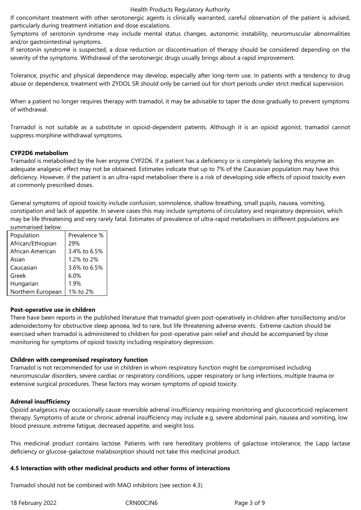If concomitant treatment with other serotonergic agents is clinically warranted, careful observation of the patient is advised, particularly during treatment initiation and dose escalations.

Symptoms of serotonin syndrome may include mental status changes, autonomic instability, neuromuscular abnormalities and/or gastrointestinal symptoms.

If serotonin syndrome is suspected, a dose reduction or discontinuation of therapy should be considered depending on the severity of the symptoms. Withdrawal of the serotonergic drugs usually brings about a rapid improvement.

Tolerance, psychic and physical dependence may develop, especially after long-term use. In patients with a tendency to drug abuse or dependence, treatment with ZYDOL SR should only be carried out for short periods under strict medical supervision.

When a patient no longer requires therapy with tramadol, it may be advisable to taper the dose gradually to prevent symptoms of withdrawal.

Tramadol is not suitable as a substitute in opioid-dependent patients. Although it is an opioid agonist, tramadol cannot suppress morphine withdrawal symptoms.

# **CYP2D6 metabolism**

Tramadol is metabolised by the liver enzyme CYP2D6. If a patient has a deficiency or is completely lacking this enzyme an adequate analgesic effect may not be obtained. Estimates indicate that up to 7% of the Caucasian population may have this deficiency. However, if the patient is an ultra-rapid metaboliser there is a risk of developing side effects of opioid toxicity even at commonly prescribed doses.

General symptoms of opioid toxicity include confusion, somnolence, shallow breathing, small pupils, nausea, vomiting, constipation and lack of appetite. In severe cases this may include symptoms of circulatory and respiratory depression, which may be life threatening and very rarely fatal. Estimates of prevalence of ultra-rapid metabolisers in different populations are summarised below:

| Population        | Prevalence % |
|-------------------|--------------|
| African/Ethiopian | 29%          |
| African American  | 3.4% to 6.5% |
| Asian             | 1.2% to 2%   |
| Caucasian         | 3.6% to 6.5% |
| Greek             | 6.0%         |
| Hungarian         | 1.9%         |
| Northern European | 1% to 2%     |

#### **Post-operative use in children**

There have been reports in the published literature that tramadol given post-operatively in children after tonsillectomy and/or adenoidectomy for obstructive sleep apnoea, led to rare, but life threatening adverse events. Extreme caution should be exercised when tramadol is administered to children for post-operative pain relief and should be accompanied by close monitoring for symptoms of opioid toxicity including respiratory depression.

# **Children with compromised respiratory function**

Tramadol is not recommended for use in children in whom respiratory function might be compromised including neuromuscular disorders, severe cardiac or respiratory conditions, upper respiratory or lung infections, multiple trauma or extensive surgical procedures. These factors may worsen symptoms of opioid toxicity.

# **Adrenal insufficiency**

Opioid analgesics may occasionally cause reversible adrenal insufficiency requiring monitoring and glucocorticoid replacement therapy. Symptoms of acute or chronic adrenal insufficiency may include e.g. severe abdominal pain, nausea and vomiting, low blood pressure, extreme fatigue, decreased appetite, and weight loss.

This medicinal product contains lactose. Patients with rare hereditary problems of galactose intolerance, the Lapp lactase deficiency or glucose-galactose malabsorption should not take this medicinal product.

# **4.5 Interaction with other medicinal products and other forms of interactions**

Tramadol should not be combined with MAO inhibitors (see section 4.3).

18 February 2022 CRN00CJN6 Page 3 of 9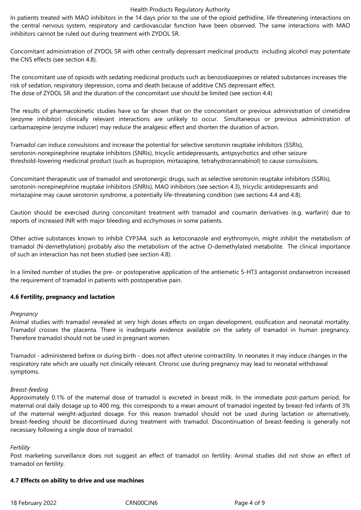#### Health Products Regulatory Authority

In patients treated with MAO inhibitors in the 14 days prior to the use of the opioid pethidine, life-threatening interactions on the central nervous system, respiratory and cardiovascular function have been observed. The same interactions with MAO inhibitors cannot be ruled out during treatment with ZYDOL SR.

Concomitant administration of ZYDOL SR with other centrally depressant medicinal products including alcohol may potentiate the CNS effects (see section 4.8).

The concomitant use of opioids with sedating medicinal products such as benzodiazepines or related substances increases the risk of sedation, respiratory depression, coma and death because of additive CNS depressant effect. The dose of ZYDOL SR and the duration of the concomitant use should be limited (see section 4.4)

The results of pharmacokinetic studies have so far shown that on the concomitant or previous administration of cimetidine (enzyme inhibitor) clinically relevant interactions are unlikely to occur. Simultaneous or previous administration of carbamazepine (enzyme inducer) may reduce the analgesic effect and shorten the duration of action.

Tramadol can induce convulsions and increase the potential for selective serotonin reuptake inhibitors (SSRIs), serotonin-norepinephrine reuptake inhibitors (SNRIs), tricyclic antidepressants, antipsychotics and other seizure threshold-lowering medicinal product (such as bupropion, mirtazapine, tetrahydrocannabinol) to cause convulsions.

Concomitant therapeutic use of tramadol and serotonergic drugs, such as selective serotonin reuptake inhibitors (SSRIs), serotonin-norepinephrine reuptake inhibitors (SNRIs), MAO inhibitors (see section 4.3), tricyclic antidepressants and mirtazapine may cause serotonin syndrome, a potentially life-threatening condition (see sections 4.4 and 4.8).

Caution should be exercised during concomitant treatment with tramadol and coumarin derivatives (e.g. warfarin) due to reports of increased INR with major bleeding and ecchymoses in some patients.

Other active substances known to inhibit CYP3A4, such as ketoconazole and erythromycin, might inhibit the metabolism of tramadol (N-demethylation) probably also the metabolism of the active O-demethylated metabolite. The clinical importance of such an interaction has not been studied (see section 4.8).

In a limited number of studies the pre- or postoperative application of the antiemetic 5-HT3 antagonist ondansetron increased the requirement of tramadol in patients with postoperative pain.

#### **4.6 Fertility, pregnancy and lactation**

#### *Pregnancy*

Animal studies with tramadol revealed at very high doses effects on organ development, ossification and neonatal mortality. Tramadol crosses the placenta. There is inadequate evidence available on the safety of tramadol in human pregnancy. Therefore tramadol should not be used in pregnant women.

Tramadol - administered before or during birth - does not affect uterine contractility. In neonates it may induce changes in the respiratory rate which are usually not clinically relevant. Chronic use during pregnancy may lead to neonatal withdrawal symptoms.

#### *Breast-feeding*

Approximately 0.1% of the maternal dose of tramadol is excreted in breast milk. In the immediate post-partum period, for maternal oral daily dosage up to 400 mg, this corresponds to a mean amount of tramadol ingested by breast-fed infants of 3% of the maternal weight-adjusted dosage. For this reason tramadol should not be used during lactation or alternatively, breast-feeding should be discontinued during treatment with tramadol. Discontinuation of breast-feeding is generally not necessary following a single dose of tramadol.

#### *Fertility*

Post marketing surveillance does not suggest an effect of tramadol on fertility. Animal studies did not show an effect of tramadol on fertility.

#### **4.7 Effects on ability to drive and use machines**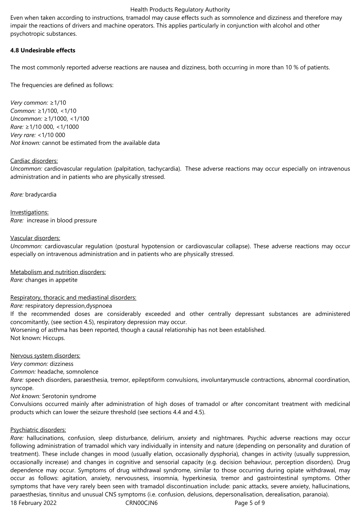#### Health Products Regulatory Authority

Even when taken according to instructions, tramadol may cause effects such as somnolence and dizziness and therefore may impair the reactions of drivers and machine operators. This applies particularly in conjunction with alcohol and other psychotropic substances.

#### **4.8 Undesirable effects**

The most commonly reported adverse reactions are nausea and dizziness, both occurring in more than 10 % of patients.

The frequencies are defined as follows:

*Very common:* ≥1/10 *Common:* ≥1/100, <1/10 *Uncommon:* ≥1/1000, <1/100 *Rare:* ≥1/10 000, <1/1000 *Very rare:* <1/10 000 *Not known:* cannot be estimated from the available data

# Cardiac disorders:

*Uncommon:* cardiovascular regulation (palpitation, tachycardia). These adverse reactions may occur especially on intravenous administration and in patients who are physically stressed.

*Rare:* bradycardia

Investigations: *Rare:*  increase in blood pressure

# Vascular disorders:

*Uncommon:* cardiovascular regulation (postural hypotension or cardiovascular collapse). These adverse reactions may occur especially on intravenous administration and in patients who are physically stressed.

Metabolism and nutrition disorders:

*Rare:* changes in appetite

# Respiratory, thoracic and mediastinal disorders:

*Rare:* respiratory depression,dyspnoea

If the recommended doses are considerably exceeded and other centrally depressant substances are administered concomitantly, (see section 4.5), respiratory depression may occur.

Worsening of asthma has been reported, though a causal relationship has not been established. Not known: Hiccups.

#### Nervous system disorders:

*Very common:* dizziness

*Common:* headache, somnolence

*Rare:* speech disorders, paraesthesia, tremor, epileptiform convulsions, involuntarymuscle contractions, abnormal coordination, syncope.

*Not known:* Serotonin syndrome

Convulsions occurred mainly after administration of high doses of tramadol or after concomitant treatment with medicinal products which can lower the seizure threshold (see sections 4.4 and 4.5).

# Psychiatric disorders:

18 February 2022 CRN00CJN6 Page 5 of 9 *Rare:* hallucinations, confusion, sleep disturbance, delirium, anxiety and nightmares. Psychic adverse reactions may occur following administration of tramadol which vary individually in intensity and nature (depending on personality and duration of treatment). These include changes in mood (usually elation, occasionally dysphoria), changes in activity (usually suppression, occasionally increase) and changes in cognitive and sensorial capacity (e.g. decision behaviour, perception disorders). Drug dependence may occur. Symptoms of drug withdrawal syndrome, similar to those occurring during opiate withdrawal, may occur as follows: agitation, anxiety, nervousness, insomnia, hyperkinesia, tremor and gastrointestinal symptoms. Other symptoms that have very rarely been seen with tramadol discontinuation include: panic attacks, severe anxiety, hallucinations, paraesthesias, tinnitus and unusual CNS symptoms (i.e. confusion, delusions, depersonalisation, derealisation, paranoia).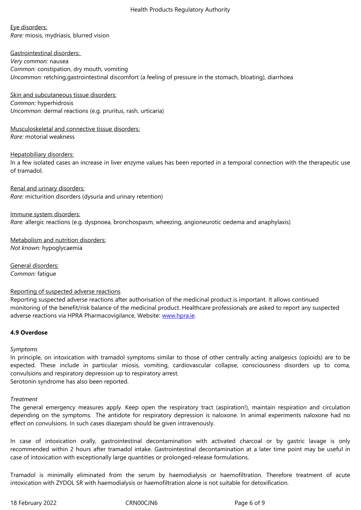*Rare:* miosis, mydriasis, blurred vision

Eye disorders:

Gastrointestinal disorders: *Very common:* nausea *Common:* constipation, dry mouth, vomiting *Uncommon:* retching,gastrointestinal discomfort (a feeling of pressure in the stomach, bloating), diarrhoea

Skin and subcutaneous tissue disorders: *Common:* hyperhidrosis *Uncommon:* dermal reactions (e.g. pruritus, rash, urticaria)

Musculoskeletal and connective tissue disorders: *Rare:* motorial weakness

Hepatobiliary disorders: In a few isolated cases an increase in liver enzyme values has been reported in a temporal connection with the therapeutic use of tramadol.

Renal and urinary disorders: *Rare:* micturition disorders (dysuria and urinary retention)

Immune system disorders: *Rare:* allergic reactions (e.g. dyspnoea, bronchospasm, wheezing, angioneurotic oedema and anaphylaxis)

Metabolism and nutrition disorders: *Not known:* hypoglycaemia

General disorders: *Common:* fatigue

# Reporting of suspected adverse reactions

Reporting suspected adverse reactions after authorisation of the medicinal product is important. It allows continued monitoring of the benefit/risk balance of the medicinal product. Healthcare professionals are asked to report any suspected adverse reactions via HPRA Pharmacovigilance, Website: www.hpra.ie.

# **4.9 Overdose**

#### *Symptoms*

In principle, on intoxication with tramadol symptoms similar to those of other centrally acting analgesics (opioids) are to be expected. These include in particular miosis, vomiting, cardiovascular collapse, consciousness disorders up to coma, convulsions and respiratory depression up to respiratory arrest. Serotonin syndrome has also been reported.

*Treatment*

The general emergency measures apply. Keep open the respiratory tract (aspiration!), maintain respiration and circulation depending on the symptoms. The antidote for respiratory depression is naloxone. In animal experiments naloxone had no effect on convulsions. In such cases diazepam should be given intravenously.

In case of intoxication orally, gastrointestinal decontamination with activated charcoal or by gastric lavage is only recommended within 2 hours after tramadol intake. Gastrointestinal decontamination at a later time point may be useful in case of intoxication with exceptionally large quantities or prolonged-release formulations.

Tramadol is minimally eliminated from the serum by haemodialysis or haemofiltration. Therefore treatment of acute intoxication with ZYDOL SR with haemodialysis or haemofiltration alone is not suitable for detoxification.

18 February 2022 CRN00CJN6 CRNO0CJN6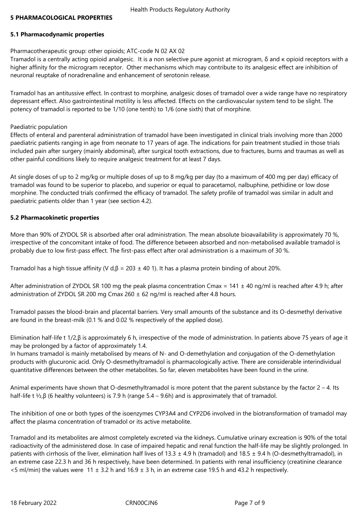# **5 PHARMACOLOGICAL PROPERTIES**

# **5.1 Pharmacodynamic properties**

# Pharmacotherapeutic group: other opioids; ATC-code N 02 AX 02

Tramadol is a centrally acting opioid analgesic. It is a non selective pure agonist at microgram, δ and κ opioid receptors with a higher affinity for the microgram receptor. Other mechanisms which may contribute to its analgesic effect are inhibition of neuronal reuptake of noradrenaline and enhancement of serotonin release.

Tramadol has an antitussive effect. In contrast to morphine, analgesic doses of tramadol over a wide range have no respiratory depressant effect. Also gastrointestinal motility is less affected. Effects on the cardiovascular system tend to be slight. The potency of tramadol is reported to be 1/10 (one tenth) to 1/6 (one sixth) that of morphine.

#### Paediatric population

Effects of enteral and parenteral administration of tramadol have been investigated in clinical trials involving more than 2000 paediatric patients ranging in age from neonate to 17 years of age. The indications for pain treatment studied in those trials included pain after surgery (mainly abdominal), after surgical tooth extractions, due to fractures, burns and traumas as well as other painful conditions likely to require analgesic treatment for at least 7 days.

At single doses of up to 2 mg/kg or multiple doses of up to 8 mg/kg per day (to a maximum of 400 mg per day) efficacy of tramadol was found to be superior to placebo, and superior or equal to paracetamol, nalbuphine, pethidine or low dose morphine. The conducted trials confirmed the efficacy of tramadol. The safety profile of tramadol was similar in adult and paediatric patients older than 1 year (see section 4.2).

# **5.2 Pharmacokinetic properties**

More than 90% of ZYDOL SR is absorbed after oral administration. The mean absolute bioavailability is approximately 70 %, irrespective of the concomitant intake of food. The difference between absorbed and non-metabolised available tramadol is probably due to low first-pass effect. The first-pass effect after oral administration is a maximum of 30 %.

Tramadol has a high tissue affinity (V d, $\beta$  = 203  $\pm$  40 1). It has a plasma protein binding of about 20%.

After administration of ZYDOL SR 100 mg the peak plasma concentration Cmax =  $141 \pm 40$  ng/ml is reached after 4.9 h; after administration of ZYDOL SR 200 mg Cmax 260  $\pm$  62 ng/ml is reached after 4.8 hours.

Tramadol passes the blood-brain and placental barriers. Very small amounts of the substance and its O-desmethyl derivative are found in the breast-milk (0.1 % and 0.02 % respectively of the applied dose).

Elimination half-life t 1/2,β is approximately 6 h, irrespective of the mode of administration. In patients above 75 years of age it may be prolonged by a factor of approximately 1.4.

In humans tramadol is mainly metabolised by means of N- and O-demethylation and conjugation of the O-demethylation products with glucuronic acid. Only O-desmethyltramadol is pharmacologically active. There are considerable interindividual quantitative differences between the other metabolites. So far, eleven metabolites have been found in the urine.

Animal experiments have shown that O-desmethyltramadol is more potent that the parent substance by the factor  $2 - 4$ . Its half-life t ½,β (6 healthy volunteers) is 7.9 h (range 5.4 – 9.6h) and is approximately that of tramadol.

The inhibition of one or both types of the isoenzymes CYP3A4 and CYP2D6 involved in the biotransformation of tramadol may affect the plasma concentration of tramadol or its active metabolite.

Tramadol and its metabolites are almost completely excreted via the kidneys. Cumulative urinary excreation is 90% of the total radioactivity of the administered dose. In case of impaired hepatic and renal function the half-life may be slightly prolonged. In patients with cirrhosis of the liver, elimination half lives of 13.3  $\pm$  4.9 h (tramadol) and 18.5  $\pm$  9.4 h (O-desmethyltramadol), in an extreme case 22.3 h and 36 h respectively, have been determined. In patients with renal insufficiency (creatinine clearance  $\le$ 5 ml/min) the values were 11  $\pm$  3.2 h and 16.9  $\pm$  3 h, in an extreme case 19.5 h and 43.2 h respectively.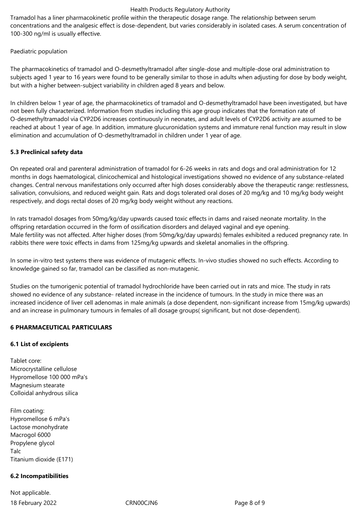#### Health Products Regulatory Authority

Tramadol has a liner pharmacokinetic profile within the therapeutic dosage range. The relationship between serum concentrations and the analgesic effect is dose-dependent, but varies considerably in isolated cases. A serum concentration of 100-300 ng/ml is usually effective.

Paediatric population

The pharmacokinetics of tramadol and O-desmethyltramadol after single-dose and multiple-dose oral administration to subjects aged 1 year to 16 years were found to be generally similar to those in adults when adjusting for dose by body weight, but with a higher between-subject variability in children aged 8 years and below.

In children below 1 year of age, the pharmacokinetics of tramadol and O-desmethyltramadol have been investigated, but have not been fully characterized. Information from studies including this age group indicates that the formation rate of O-desmethyltramadol via CYP2D6 increases continuously in neonates, and adult levels of CYP2D6 activity are assumed to be reached at about 1 year of age. In addition, immature glucuronidation systems and immature renal function may result in slow elimination and accumulation of O-desmethyltramadol in children under 1 year of age.

# **5.3 Preclinical safety data**

On repeated oral and parenteral administration of tramadol for 6-26 weeks in rats and dogs and oral administration for 12 months in dogs haematological, clinicochemical and histological investigations showed no evidence of any substance-related changes. Central nervous manifestations only occurred after high doses considerably above the therapeutic range: restlessness, salivation, convulsions, and reduced weight gain. Rats and dogs tolerated oral doses of 20 mg/kg and 10 mg/kg body weight respectively, and dogs rectal doses of 20 mg/kg body weight without any reactions.

In rats tramadol dosages from 50mg/kg/day upwards caused toxic effects in dams and raised neonate mortality. In the offspring retardation occurred in the form of ossification disorders and delayed vaginal and eye opening. Male fertility was not affected. After higher doses (from 50mg/kg/day upwards) females exhibited a reduced pregnancy rate. In rabbits there were toxic effects in dams from 125mg/kg upwards and skeletal anomalies in the offspring.

In some in-vitro test systems there was evidence of mutagenic effects. In-vivo studies showed no such effects. According to knowledge gained so far, tramadol can be classified as non-mutagenic.

Studies on the tumorigenic potential of tramadol hydrochloride have been carried out in rats and mice. The study in rats showed no evidence of any substance- related increase in the incidence of tumours. In the study in mice there was an increased incidence of liver cell adenomas in male animals (a dose dependent, non-significant increase from 15mg/kg upwards) and an increase in pulmonary tumours in females of all dosage groups( significant, but not dose-dependent).

# **6 PHARMACEUTICAL PARTICULARS**

#### **6.1 List of excipients**

Tablet core: Microcrystalline cellulose Hypromellose 100 000 mPa's Magnesium stearate Colloidal anhydrous silica

Film coating: Hypromellose 6 mPa's Lactose monohydrate Macrogol 6000 Propylene glycol Talc Titanium dioxide (E171)

# **6.2 Incompatibilities**

18 February 2022 CRN00CJN6 Page 8 of 9 Not applicable.